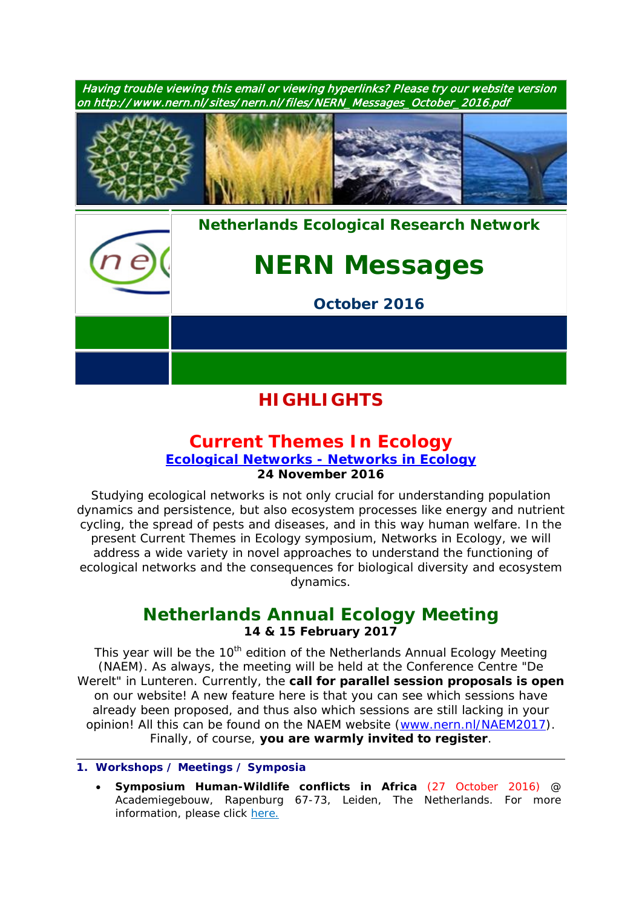

# **HIGHLIGHTS**

## **[Current Themes In Ecology](https://www.nern.nl/CT2016)**

## **[Ecological Networks -](https://www.nern.nl/CT2016) Networks in Ecology 24 November 2016**

Studying ecological networks is not only crucial for understanding population dynamics and persistence, but also ecosystem processes like energy and nutrient cycling, the spread of pests and diseases, and in this way human welfare. In the present Current Themes in Ecology symposium, Networks in Ecology, we will address a wide variety in novel approaches to understand the functioning of ecological networks and the consequences for biological diversity and ecosystem dynamics.

## **[Netherlands Annual Ecology Meeting](https://www.nern.nl/NAEM2017) 14 & 15 February 2017**

This year will be the 10<sup>th</sup> edition of the Netherlands Annual Ecology Meeting (NAEM). As always, the meeting will be held at the Conference Centre "De Werelt" in Lunteren. Currently, the **call for parallel session proposals is open** on our website! A new feature here is that you can see which sessions have already been proposed, and thus also which sessions are still lacking in your opinion! All this can be found on the NAEM website [\(www.nern.nl/NAEM2017\)](http://www.nern.nl/NAEM2017). Finally, of course, **you are warmly invited to register**.

### **1. Workshops / Meetings / Symposia**

• **Symposium Human-Wildlife conflicts in Africa** (27 October 2016) @ Academiegebouw, Rapenburg 67-73, Leiden, The Netherlands. For more information, please click [here.](https://www.universiteitleiden.nl/en/events/2016/10/symposium-human-wildlife-conflicts-in-africa)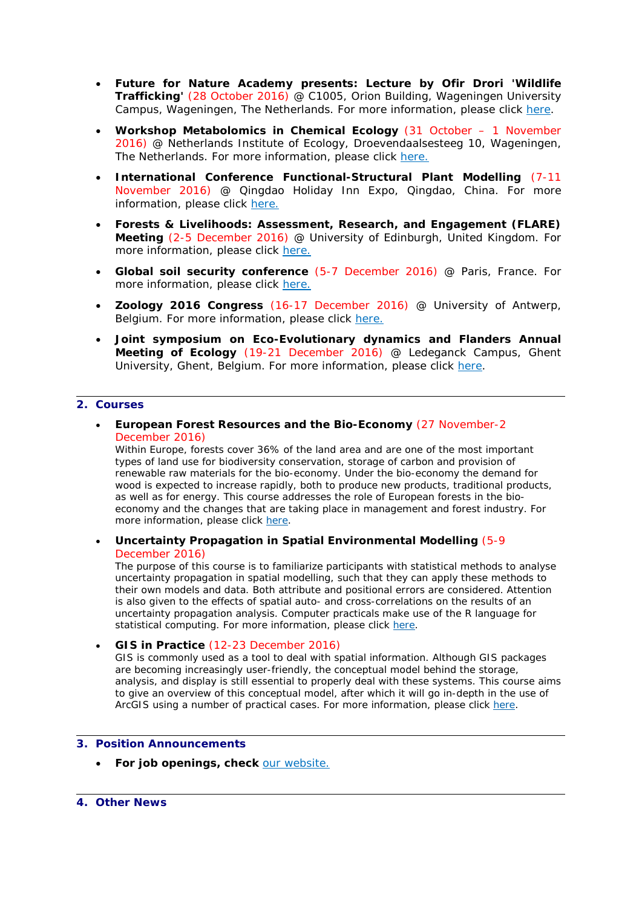- **Future for Nature Academy presents: Lecture by Ofir Drori 'Wildlife Trafficking'** (28 October 2016) @ C1005, Orion Building, Wageningen University Campus, Wageningen, The Netherlands. For more information, please click [here.](https://www.nern.nl/sites/default/files/Poster%20Ofir%20Drori%20Def_0.pdf)
- **Workshop Metabolomics in Chemical Ecology** (31 October 1 November 2016) @ Netherlands Institute of Ecology, Droevendaalsesteeg 10, Wageningen, The Netherlands. For more information, please click [here.](https://nioo.knaw.nl/en/metabolomics-workshop)
- **International Conference Functional-Structural Plant Modelling** (7-11 November 2016) @ Qingdao Holiday Inn Expo, Qingdao, China. For more information, please click [here.](http://www.fspma2016.net/dct/page/1)
- **Forests & Livelihoods: Assessment, Research, and Engagement (FLARE) Meeting** (2-5 December 2016) @ University of Edinburgh, United Kingdom. For more information, please click [here.](http://www.forestlivelihoods.org/flare-meeting-2016)
- **Global soil security conference** (5-7 December 2016) @ Paris, France. For more information, please click [here.](https://gssparisen.wordpress.com/)
- **Zoology 2016 Congress** (16-17 December 2016) @ University of Antwerp, Belgium. For more information, please click [here.](https://www.uantwerpen.be/en/conferences/zoology-2016/)
- **Joint symposium on Eco-Evolutionary dynamics and Flanders Annual Meeting of Ecology** (19-21 December 2016) @ Ledeganck Campus, Ghent University, Ghent, Belgium. For more information, please click [here.](http://www.ecology.ugent.be/evenet/symposium.php?page=symphome)

### **2. Courses**

• **European Forest Resources and the Bio-Economy** (27 November-2 December 2016)

*Within Europe, forests cover 36% of the land area and are one of the most important types of land use for biodiversity conservation, storage of carbon and provision of renewable raw materials for the bio-economy. Under the bio-economy the demand for wood is expected to increase rapidly, both to produce new products, traditional products, as well as for energy. This course addresses the role of European forests in the bioeconomy and the changes that are taking place in management and forest industry. For more information, please click [here.](https://www.pe-rc.nl/forest-resources)*

• **Uncertainty Propagation in Spatial Environmental Modelling** (5-9 December 2016)

*The purpose of this course is to familiarize participants with statistical methods to analyse uncertainty propagation in spatial modelling, such that they can apply these methods to their own models and data. Both attribute and positional errors are considered. Attention is also given to the effects of spatial auto- and cross-correlations on the results of an uncertainty propagation analysis. Computer practicals make use of the R language for statistical computing. For more information, please click [here.](https://www.pe-rc.nl/UPSEM)*

• **GIS in Practice** (12-23 December 2016)

*GIS is commonly used as a tool to deal with spatial information. Although GIS packages are becoming increasingly user-friendly, the conceptual model behind the storage, analysis, and display is still essential to properly deal with these systems. This course aims*  to give an overview of this conceptual model, after which it will go in-depth in the use of *ArcGIS using a number of practical cases. For more information, please click [here.](https://www.pe-rc.nl/postgraduate-courses/gis-in-practice)*

#### **3. Position Announcements**

• **For job openings, check** [our website.](https://www.nern.nl/jobs)

#### **4. Other News**